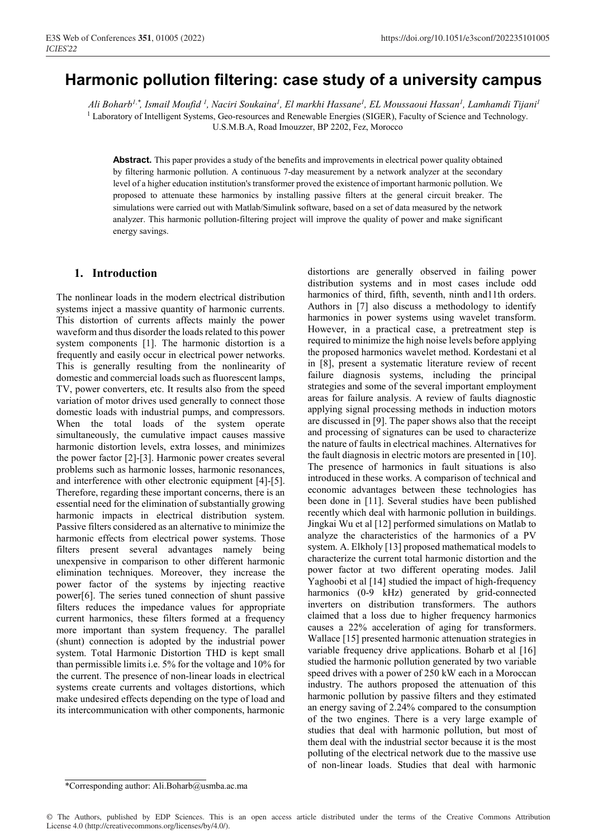# **Harmonic pollution filtering: case study of a university campus**

*Ali Boharb1 , Ismail Moufid <sup>1</sup> , Naciri Soukaina1 , El markhi Hassane1 , EL Moussaoui Hassan1 , Lamhamdi Tijani1 ,\**<sup>1</sup> Laboratory of Intelligent Systems, Geo-resources and Renewable Energies (SIGER), Faculty of Science and Technology. U.S.M.B.A, Road Imouzzer, BP 2202, Fez, Morocco

**Abstract.** This paper provides a study of the benefits and improvements in electrical power quality obtained by filtering harmonic pollution. A continuous 7-day measurement by a network analyzer at the secondary level of a higher education institution's transformer proved the existence of important harmonic pollution. We proposed to attenuate these harmonics by installing passive filters at the general circuit breaker. The simulations were carried out with Matlab/Simulink software, based on a set of data measured by the network analyzer. This harmonic pollution-filtering project will improve the quality of power and make significant energy savings.

## **1. Introduction**

The nonlinear loads in the modern electrical distribution systems inject a massive quantity of harmonic currents. This distortion of currents affects mainly the power waveform and thus disorder the loads related to this power system components [1]. The harmonic distortion is a frequently and easily occur in electrical power networks. This is generally resulting from the nonlinearity of domestic and commercial loads such as fluorescent lamps, TV, power converters, etc. It results also from the speed variation of motor drives used generally to connect those domestic loads with industrial pumps, and compressors. When the total loads of the system operate simultaneously, the cumulative impact causes massive harmonic distortion levels, extra losses, and minimizes the power factor [2]-[3]. Harmonic power creates several problems such as harmonic losses, harmonic resonances, and interference with other electronic equipment [4]-[5]. Therefore, regarding these important concerns, there is an essential need for the elimination of substantially growing harmonic impacts in electrical distribution system. Passive filters considered as an alternative to minimize the harmonic effects from electrical power systems. Those filters present several advantages namely being unexpensive in comparison to other different harmonic elimination techniques. Moreover, they increase the power factor of the systems by injecting reactive power[6]. The series tuned connection of shunt passive filters reduces the impedance values for appropriate current harmonics, these filters formed at a frequency more important than system frequency. The parallel (shunt) connection is adopted by the industrial power system. Total Harmonic Distortion THD is kept small than permissible limits i.e. 5% for the voltage and 10% for the current. The presence of non-linear loads in electrical systems create currents and voltages distortions, which make undesired effects depending on the type of load and its intercommunication with other components, harmonic

distortions are generally observed in failing power distribution systems and in most cases include odd harmonics of third, fifth, seventh, ninth and 11th orders. Authors in [7] also discuss a methodology to identify harmonics in power systems using wavelet transform. However, in a practical case, a pretreatment step is required to minimize the high noise levels before applying the proposed harmonics wavelet method. Kordestani et al in [8], present a systematic literature review of recent failure diagnosis systems, including the principal strategies and some of the several important employment areas for failure analysis. A review of faults diagnostic applying signal processing methods in induction motors are discussed in [9]. The paper shows also that the receipt and processing of signatures can be used to characterize the nature of faults in electrical machines. Alternatives for the fault diagnosis in electric motors are presented in [10]. The presence of harmonics in fault situations is also introduced in these works. A comparison of technical and economic advantages between these technologies has been done in [11]. Several studies have been published recently which deal with harmonic pollution in buildings. Jingkai Wu et al [12] performed simulations on Matlab to analyze the characteristics of the harmonics of a PV system. A. Elkholy [13] proposed mathematical models to characterize the current total harmonic distortion and the power factor at two different operating modes. Jalil Yaghoobi et al [14] studied the impact of high-frequency harmonics (0-9 kHz) generated by grid-connected inverters on distribution transformers. The authors claimed that a loss due to higher frequency harmonics causes a 22% acceleration of aging for transformers. Wallace [15] presented harmonic attenuation strategies in variable frequency drive applications. Boharb et al [16] studied the harmonic pollution generated by two variable speed drives with a power of 250 kW each in a Moroccan industry. The authors proposed the attenuation of this harmonic pollution by passive filters and they estimated an energy saving of 2.24% compared to the consumption of the two engines. There is a very large example of studies that deal with harmonic pollution, but most of them deal with the industrial sector because it is the most polluting of the electrical network due to the massive use of non-linear loads. Studies that deal with harmonic

© The Authors, published by EDP Sciences. This is an open access article distributed under the terms of the Creative Commons Attribution License 4.0 (http://creativecommons.org/licenses/by/4.0/).

<sup>\*</sup>Corresponding author: Ali.Boharb@usmba.ac.ma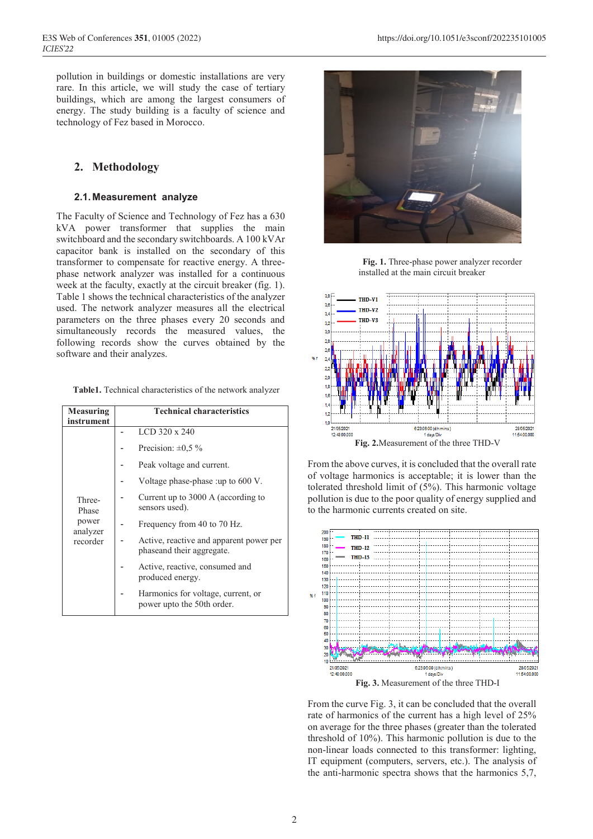pollution in buildings or domestic installations are very rare. In this article, we will study the case of tertiary buildings, which are among the largest consumers of energy. The study building is a faculty of science and technology of Fez based in Morocco.

# **2. Methodology**

#### **2.1. Measurement analyze**

The Faculty of Science and Technology of Fez has a 630 kVA power transformer that supplies the main switchboard and the secondary switchboards. A 100 kVAr capacitor bank is installed on the secondary of this transformer to compensate for reactive energy. A threephase network analyzer was installed for a continuous week at the faculty, exactly at the circuit breaker (fig. 1). Table 1 shows the technical characteristics of the analyzer used. The network analyzer measures all the electrical parameters on the three phases every 20 seconds and simultaneously records the measured values, the following records show the curves obtained by the software and their analyzes.

|  |  | <b>Table1.</b> Technical characteristics of the network analyzer |  |  |  |
|--|--|------------------------------------------------------------------|--|--|--|
|--|--|------------------------------------------------------------------|--|--|--|

| <b>Measuring</b><br>instrument | <b>Technical characteristics</b>                                     |
|--------------------------------|----------------------------------------------------------------------|
|                                | LCD 320 x 240                                                        |
|                                | Precision: $\pm 0.5 \%$                                              |
|                                | Peak voltage and current.                                            |
|                                | Voltage phase-phase :up to 600 V.                                    |
| Three-<br>Phase                | Current up to 3000 A (according to<br>sensors used).                 |
| power<br>analyzer              | Frequency from 40 to 70 Hz.                                          |
| recorder                       | Active, reactive and apparent power per<br>phaseand their aggregate. |
|                                | Active, reactive, consumed and<br>produced energy.                   |
|                                | Harmonics for voltage, current, or<br>power upto the 50th order.     |



 **Fig. 1.** Three-phase power analyzer recorder installed at the main circuit breaker



From the above curves, it is concluded that the overall rate of voltage harmonics is acceptable; it is lower than the tolerated threshold limit of (5%). This harmonic voltage pollution is due to the poor quality of energy supplied and to the harmonic currents created on site.



From the curve Fig. 3, it can be concluded that the overall rate of harmonics of the current has a high level of 25% on average for the three phases (greater than the tolerated threshold of 10%). This harmonic pollution is due to the non-linear loads connected to this transformer: lighting, IT equipment (computers, servers, etc.). The analysis of the anti-harmonic spectra shows that the harmonics 5,7,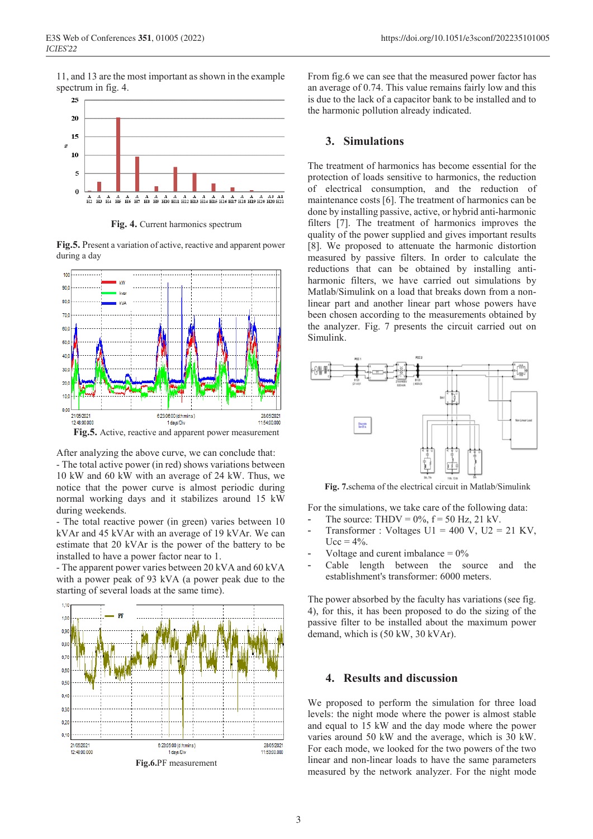11, and 13 are the most important as shown in the example spectrum in fig. 4.



**Fig. 4.** Current harmonics spectrum

**Fig.5.** Present a variation of active, reactive and apparent power during a day



After analyzing the above curve, we can conclude that:

- The total active power (in red) shows variations between 10 kW and 60 kW with an average of 24 kW. Thus, we notice that the power curve is almost periodic during normal working days and it stabilizes around 15 kW during weekends.

- The total reactive power (in green) varies between 10 kVAr and 45 kVAr with an average of 19 kVAr. We can estimate that 20 kVAr is the power of the battery to be installed to have a power factor near to 1.

- The apparent power varies between 20 kVA and 60 kVA with a power peak of 93 kVA (a power peak due to the starting of several loads at the same time).



From fig.6 we can see that the measured power factor has an average of 0.74. This value remains fairly low and this is due to the lack of a capacitor bank to be installed and to the harmonic pollution already indicated.

#### **3. Simulations**

The treatment of harmonics has become essential for the protection of loads sensitive to harmonics, the reduction of electrical consumption, and the reduction of maintenance costs [6]. The treatment of harmonics can be done by installing passive, active, or hybrid anti-harmonic filters [7]. The treatment of harmonics improves the quality of the power supplied and gives important results [8]. We proposed to attenuate the harmonic distortion measured by passive filters. In order to calculate the reductions that can be obtained by installing antiharmonic filters, we have carried out simulations by Matlab/Simulink on a load that breaks down from a nonlinear part and another linear part whose powers have been chosen according to the measurements obtained by the analyzer. Fig. 7 presents the circuit carried out on Simulink.



**Fig. 7.**schema of the electrical circuit in Matlab/Simulink

For the simulations, we take care of the following data: - The source: THDV =  $0\%$ ,  $f = 50$  Hz, 21 kV.

- Transformer : Voltages  $U1 = 400$  V,  $U2 = 21$  KV,  $Ucc = 4\%$ .
- Voltage and curent imbalance  $= 0\%$
- Cable length between the source and the establishment's transformer: 6000 meters.

The power absorbed by the faculty has variations (see fig. 4), for this, it has been proposed to do the sizing of the passive filter to be installed about the maximum power demand, which is (50 kW, 30 kVAr).

## **4. Results and discussion**

We proposed to perform the simulation for three load levels: the night mode where the power is almost stable and equal to 15 kW and the day mode where the power varies around 50 kW and the average, which is 30 kW. For each mode, we looked for the two powers of the two linear and non-linear loads to have the same parameters measured by the network analyzer. For the night mode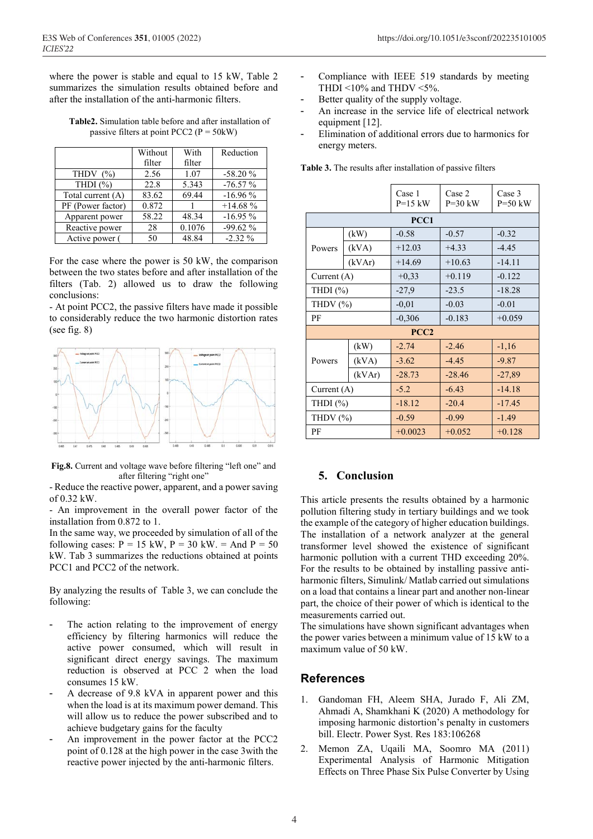where the power is stable and equal to 15 kW, Table 2 summarizes the simulation results obtained before and after the installation of the anti-harmonic filters.

**Table2.** Simulation table before and after installation of passive filters at point PCC2 ( $P = 50$ kW)

|                   | Without | With   | Reduction |
|-------------------|---------|--------|-----------|
|                   | filter  | filter |           |
| THDV $(%)$        | 2.56    | 1.07   | $-58.20%$ |
| THDI $(\% )$      | 22.8    | 5.343  | $-76.57%$ |
| Total current (A) | 83.62   | 69.44  | $-16.96%$ |
| PF (Power factor) | 0.872   |        | $+14.68%$ |
| Apparent power    | 58.22   | 48.34  | $-16.95%$ |
| Reactive power    | 28      | 0.1076 | $-99.62%$ |
| Active power (    | 50      | 48.84  | $-2.32\%$ |

For the case where the power is 50 kW, the comparison between the two states before and after installation of the filters (Tab. 2) allowed us to draw the following conclusions:

- At point PCC2, the passive filters have made it possible to considerably reduce the two harmonic distortion rates (see fig. 8)



**Fig.8.** Current and voltage wave before filtering "left one" and after filtering "right one"

- Reduce the reactive power, apparent, and a power saving of 0.32 kW.

- An improvement in the overall power factor of the installation from 0.872 to 1.

In the same way, we proceeded by simulation of all of the following cases:  $P = 15$  kW,  $P = 30$  kW.  $=$  And  $P = 50$ kW. Tab 3 summarizes the reductions obtained at points PCC1 and PCC2 of the network.

By analyzing the results of Table 3, we can conclude the following:

- The action relating to the improvement of energy efficiency by filtering harmonics will reduce the active power consumed, which will result in significant direct energy savings. The maximum reduction is observed at PCC 2 when the load consumes 15 kW.
- A decrease of 9.8 kVA in apparent power and this when the load is at its maximum power demand. This will allow us to reduce the power subscribed and to achieve budgetary gains for the faculty
- An improvement in the power factor at the PCC2 point of 0.128 at the high power in the case 3with the reactive power injected by the anti-harmonic filters.
- Compliance with IEEE 519 standards by meeting THDI <10% and THDV <5%.
- Better quality of the supply voltage.
- An increase in the service life of electrical network equipment [12].
- Elimination of additional errors due to harmonics for energy meters.

|               |                  | Case 1<br>$P=15$ kW | Case 2<br>$P=30$ kW | Case 3<br>$P=50$ kW |  |  |  |
|---------------|------------------|---------------------|---------------------|---------------------|--|--|--|
|               | PCC1             |                     |                     |                     |  |  |  |
|               | (kW)             | $-0.58$             | $-0.57$             | $-0.32$             |  |  |  |
| Powers        | (kVA)            | $+12.03$            | $+4.33$             | $-4.45$             |  |  |  |
|               | (kVAr)           | $+14.69$            | $+10.63$            | $-14.11$            |  |  |  |
| Current $(A)$ |                  | $+0,33$             | $+0.119$            | $-0.122$            |  |  |  |
| THDI $(\%)$   |                  | $-27,9$             | $-23.5$             | $-18.28$            |  |  |  |
| THDV $(\%)$   |                  | $-0,01$             | $-0.03$             | $-0.01$             |  |  |  |
| PF            |                  | $-0,306$            | $-0.183$            | $+0.059$            |  |  |  |
|               | PCC <sub>2</sub> |                     |                     |                     |  |  |  |
|               | (kW)             | $-2.74$             | $-2.46$             | $-1,16$             |  |  |  |
| Powers        | (kVA)            | $-3.62$             | $-4.45$             | $-9.87$             |  |  |  |
|               | (kVAr)           | $-28.73$            | $-28.46$            | $-27,89$            |  |  |  |
| Current (A)   |                  | $-5.2$              | $-6.43$             | $-14.18$            |  |  |  |
| THDI $(\%)$   |                  | $-18.12$            | $-20.4$             | $-17.45$            |  |  |  |
| THDV (%)      |                  | $-0.59$             | $-0.99$             | $-1.49$             |  |  |  |
| PF            |                  | $+0.0023$           | $+0.052$            | $+0.128$            |  |  |  |

**Table 3.** The results after installation of passive filters

# **5. Conclusion**

This article presents the results obtained by a harmonic pollution filtering study in tertiary buildings and we took the example of the category of higher education buildings. The installation of a network analyzer at the general transformer level showed the existence of significant harmonic pollution with a current THD exceeding 20%. For the results to be obtained by installing passive antiharmonic filters, Simulink/ Matlab carried out simulations on a load that contains a linear part and another non-linear part, the choice of their power of which is identical to the measurements carried out.

The simulations have shown significant advantages when the power varies between a minimum value of 15 kW to a maximum value of 50 kW.

## **References**

- 1. Gandoman FH, Aleem SHA, Jurado F, Ali ZM, Ahmadi A, Shamkhani K (2020) A methodology for imposing harmonic distortion's penalty in customers bill. Electr. Power Syst. Res 183:106268
- 2. Memon ZA, Uqaili MA, Soomro MA (2011) Experimental Analysis of Harmonic Mitigation Effects on Three Phase Six Pulse Converter by Using